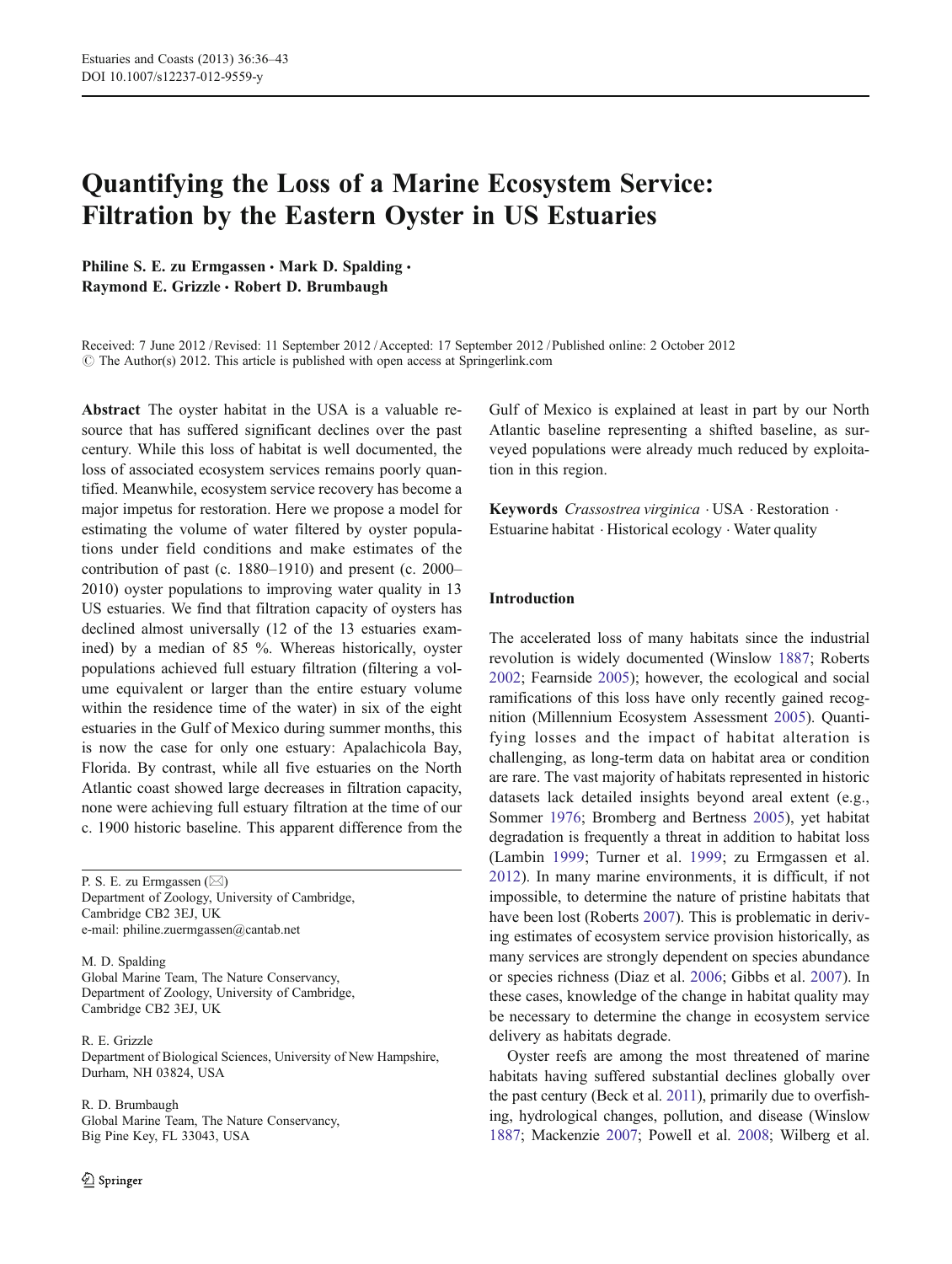# Quantifying the Loss of a Marine Ecosystem Service: Filtration by the Eastern Oyster in US Estuaries

Philine S. E. zu Ermgassen · Mark D. Spalding · Raymond E. Grizzle · Robert D. Brumbaugh

Received: 7 June 2012 /Revised: 11 September 2012 /Accepted: 17 September 2012 / Published online: 2 October 2012  $\odot$  The Author(s) 2012. This article is published with open access at Springerlink.com

Abstract The oyster habitat in the USA is a valuable resource that has suffered significant declines over the past century. While this loss of habitat is well documented, the loss of associated ecosystem services remains poorly quantified. Meanwhile, ecosystem service recovery has become a major impetus for restoration. Here we propose a model for estimating the volume of water filtered by oyster populations under field conditions and make estimates of the contribution of past (c. 1880–1910) and present (c. 2000– 2010) oyster populations to improving water quality in 13 US estuaries. We find that filtration capacity of oysters has declined almost universally (12 of the 13 estuaries examined) by a median of 85 %. Whereas historically, oyster populations achieved full estuary filtration (filtering a volume equivalent or larger than the entire estuary volume within the residence time of the water) in six of the eight estuaries in the Gulf of Mexico during summer months, this is now the case for only one estuary: Apalachicola Bay, Florida. By contrast, while all five estuaries on the North Atlantic coast showed large decreases in filtration capacity, none were achieving full estuary filtration at the time of our c. 1900 historic baseline. This apparent difference from the

P. S. E. zu Ermgassen  $(\boxtimes)$ Department of Zoology, University of Cambridge, Cambridge CB2 3EJ, UK e-mail: philine.zuermgassen@cantab.net

M. D. Spalding Global Marine Team, The Nature Conservancy, Department of Zoology, University of Cambridge, Cambridge CB2 3EJ, UK

R. E. Grizzle Department of Biological Sciences, University of New Hampshire, Durham, NH 03824, USA

R. D. Brumbaugh Global Marine Team, The Nature Conservancy, Big Pine Key, FL 33043, USA

Gulf of Mexico is explained at least in part by our North Atlantic baseline representing a shifted baseline, as surveyed populations were already much reduced by exploitation in this region.

Keywords Crassostrea virginica . USA . Restoration . Estuarine habitat . Historical ecology . Water quality

## Introduction

The accelerated loss of many habitats since the industrial revolution is widely documented (Winslow [1887;](#page-7-0) Roberts [2002](#page-7-0); Fearnside [2005](#page-6-0)); however, the ecological and social ramifications of this loss have only recently gained recognition (Millennium Ecosystem Assessment [2005](#page-7-0)). Quantifying losses and the impact of habitat alteration is challenging, as long-term data on habitat area or condition are rare. The vast majority of habitats represented in historic datasets lack detailed insights beyond areal extent (e.g., Sommer [1976;](#page-7-0) Bromberg and Bertness [2005](#page-6-0)), yet habitat degradation is frequently a threat in addition to habitat loss (Lambin [1999;](#page-7-0) Turner et al. [1999](#page-7-0); zu Ermgassen et al. [2012](#page-7-0)). In many marine environments, it is difficult, if not impossible, to determine the nature of pristine habitats that have been lost (Roberts [2007\)](#page-7-0). This is problematic in deriving estimates of ecosystem service provision historically, as many services are strongly dependent on species abundance or species richness (Diaz et al. [2006](#page-6-0); Gibbs et al. [2007](#page-6-0)). In these cases, knowledge of the change in habitat quality may be necessary to determine the change in ecosystem service delivery as habitats degrade.

Oyster reefs are among the most threatened of marine habitats having suffered substantial declines globally over the past century (Beck et al. [2011](#page-6-0)), primarily due to overfishing, hydrological changes, pollution, and disease (Winslow [1887;](#page-7-0) Mackenzie [2007](#page-7-0); Powell et al. [2008](#page-7-0); Wilberg et al.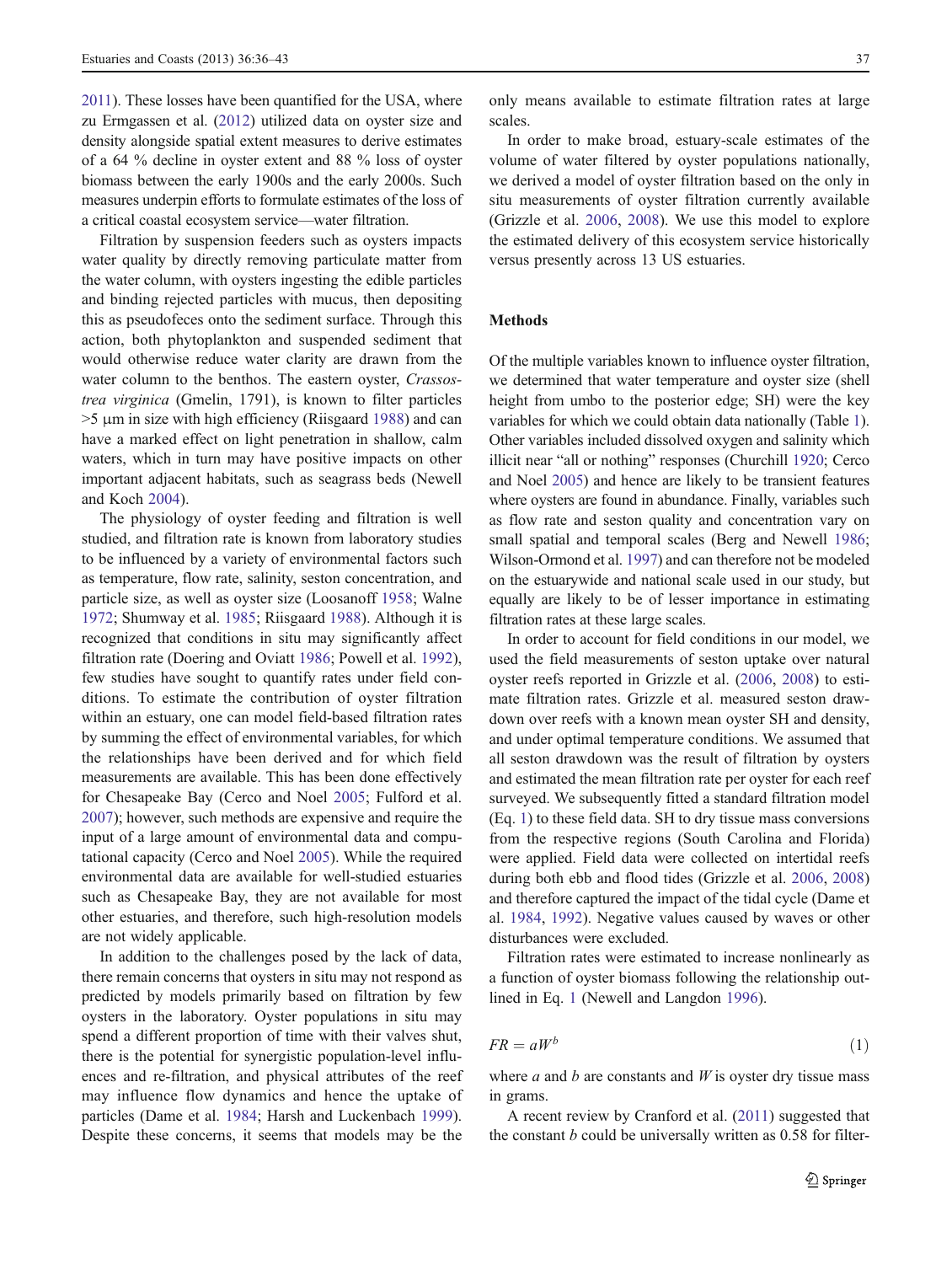<span id="page-1-0"></span>[2011](#page-7-0)). These losses have been quantified for the USA, where zu Ermgassen et al. ([2012](#page-7-0)) utilized data on oyster size and density alongside spatial extent measures to derive estimates of a 64 % decline in oyster extent and 88 % loss of oyster biomass between the early 1900s and the early 2000s. Such measures underpin efforts to formulate estimates of the loss of a critical coastal ecosystem service—water filtration.

Filtration by suspension feeders such as oysters impacts water quality by directly removing particulate matter from the water column, with oysters ingesting the edible particles and binding rejected particles with mucus, then depositing this as pseudofeces onto the sediment surface. Through this action, both phytoplankton and suspended sediment that would otherwise reduce water clarity are drawn from the water column to the benthos. The eastern oyster, Crassostrea virginica (Gmelin, 1791), is known to filter particles  $>5 \mu$ m in size with high efficiency (Riisgaard [1988](#page-7-0)) and can have a marked effect on light penetration in shallow, calm waters, which in turn may have positive impacts on other important adjacent habitats, such as seagrass beds (Newell and Koch [2004\)](#page-7-0).

The physiology of oyster feeding and filtration is well studied, and filtration rate is known from laboratory studies to be influenced by a variety of environmental factors such as temperature, flow rate, salinity, seston concentration, and particle size, as well as oyster size (Loosanoff [1958](#page-7-0); Walne [1972;](#page-7-0) Shumway et al. [1985](#page-7-0); Riisgaard [1988](#page-7-0)). Although it is recognized that conditions in situ may significantly affect filtration rate (Doering and Oviatt [1986;](#page-6-0) Powell et al. [1992](#page-7-0)), few studies have sought to quantify rates under field conditions. To estimate the contribution of oyster filtration within an estuary, one can model field-based filtration rates by summing the effect of environmental variables, for which the relationships have been derived and for which field measurements are available. This has been done effectively for Chesapeake Bay (Cerco and Noel [2005;](#page-6-0) Fulford et al. [2007\)](#page-6-0); however, such methods are expensive and require the input of a large amount of environmental data and computational capacity (Cerco and Noel [2005\)](#page-6-0). While the required environmental data are available for well-studied estuaries such as Chesapeake Bay, they are not available for most other estuaries, and therefore, such high-resolution models are not widely applicable.

In addition to the challenges posed by the lack of data, there remain concerns that oysters in situ may not respond as predicted by models primarily based on filtration by few oysters in the laboratory. Oyster populations in situ may spend a different proportion of time with their valves shut, there is the potential for synergistic population-level influences and re-filtration, and physical attributes of the reef may influence flow dynamics and hence the uptake of particles (Dame et al. [1984](#page-6-0); Harsh and Luckenbach [1999](#page-6-0)). Despite these concerns, it seems that models may be the

only means available to estimate filtration rates at large scales.

In order to make broad, estuary-scale estimates of the volume of water filtered by oyster populations nationally, we derived a model of oyster filtration based on the only in situ measurements of oyster filtration currently available (Grizzle et al. [2006](#page-6-0), [2008\)](#page-6-0). We use this model to explore the estimated delivery of this ecosystem service historically versus presently across 13 US estuaries.

## Methods

Of the multiple variables known to influence oyster filtration, we determined that water temperature and oyster size (shell height from umbo to the posterior edge; SH) were the key variables for which we could obtain data nationally (Table [1\)](#page-2-0). Other variables included dissolved oxygen and salinity which illicit near "all or nothing" responses (Churchill [1920;](#page-6-0) Cerco and Noel [2005](#page-6-0)) and hence are likely to be transient features where oysters are found in abundance. Finally, variables such as flow rate and seston quality and concentration vary on small spatial and temporal scales (Berg and Newell [1986;](#page-6-0) Wilson-Ormond et al. [1997](#page-7-0)) and can therefore not be modeled on the estuarywide and national scale used in our study, but equally are likely to be of lesser importance in estimating filtration rates at these large scales.

In order to account for field conditions in our model, we used the field measurements of seston uptake over natural oyster reefs reported in Grizzle et al. [\(2006](#page-6-0), [2008](#page-6-0)) to estimate filtration rates. Grizzle et al. measured seston drawdown over reefs with a known mean oyster SH and density, and under optimal temperature conditions. We assumed that all seston drawdown was the result of filtration by oysters and estimated the mean filtration rate per oyster for each reef surveyed. We subsequently fitted a standard filtration model (Eq. 1) to these field data. SH to dry tissue mass conversions from the respective regions (South Carolina and Florida) were applied. Field data were collected on intertidal reefs during both ebb and flood tides (Grizzle et al. [2006](#page-6-0), [2008](#page-6-0)) and therefore captured the impact of the tidal cycle (Dame et al. [1984,](#page-6-0) [1992\)](#page-6-0). Negative values caused by waves or other disturbances were excluded.

Filtration rates were estimated to increase nonlinearly as a function of oyster biomass following the relationship outlined in Eq. 1 (Newell and Langdon [1996](#page-7-0)).

$$
FR = aW^b \tag{1}
$$

where  $a$  and  $b$  are constants and  $W$  is oyster dry tissue mass in grams.

A recent review by Cranford et al. ([2011](#page-6-0)) suggested that the constant  $b$  could be universally written as 0.58 for filter-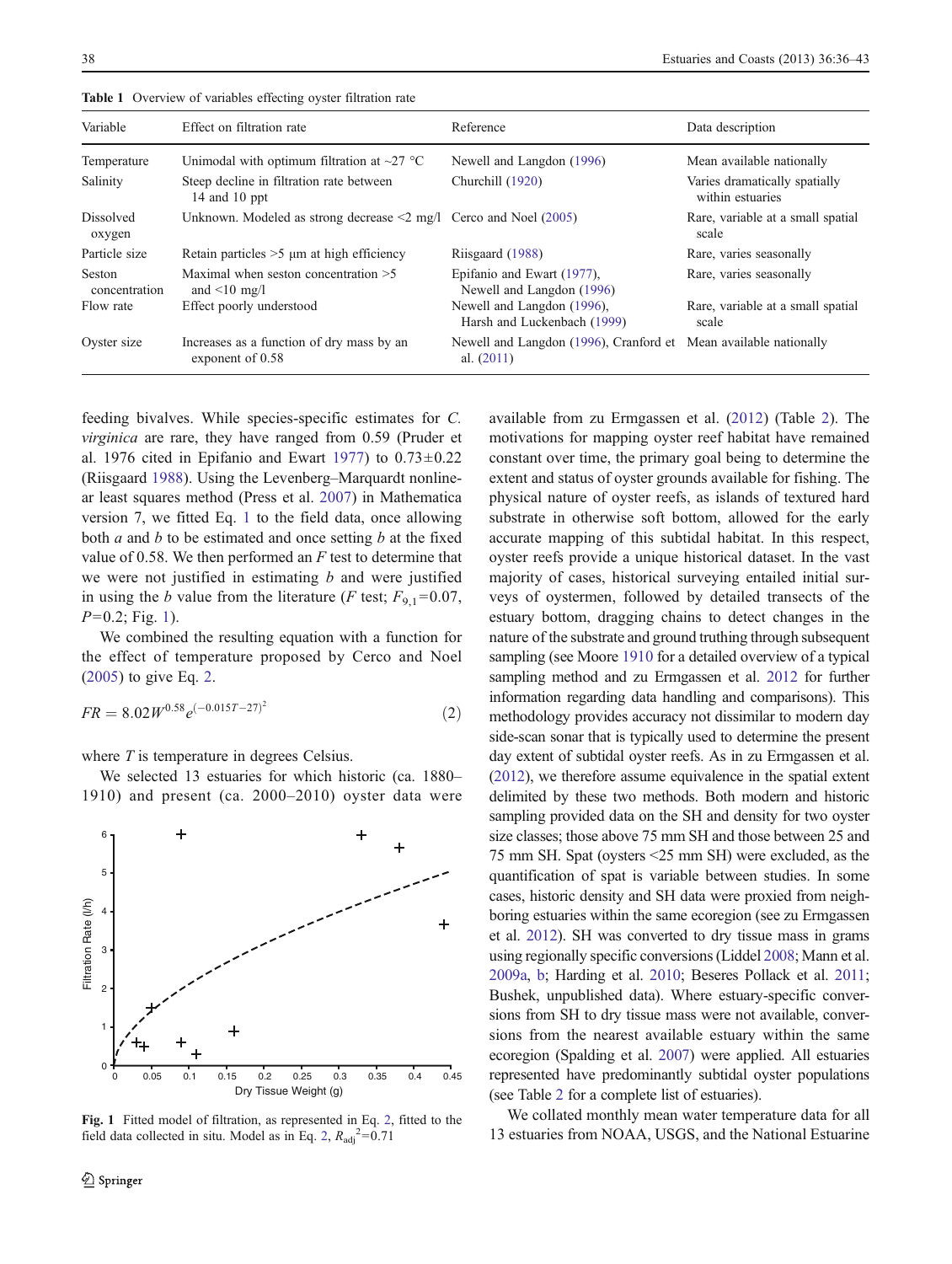| Variable                   | Effect on filtration rate                                                       | Reference                                                                        | Data description                                  |
|----------------------------|---------------------------------------------------------------------------------|----------------------------------------------------------------------------------|---------------------------------------------------|
| Temperature                | Unimodal with optimum filtration at $\sim$ 27 °C                                | Newell and Langdon (1996)                                                        | Mean available nationally                         |
| Salinity                   | Steep decline in filtration rate between<br>14 and 10 ppt                       | Churchill (1920)                                                                 | Varies dramatically spatially<br>within estuaries |
| <b>Dissolved</b><br>oxygen | Unknown. Modeled as strong decrease $\leq 2 \text{ mg/l}$ Cerco and Noel (2005) |                                                                                  | Rare, variable at a small spatial<br>scale        |
| Particle size              | Retain particles $>5 \mu$ m at high efficiency                                  | Riisgaard (1988)                                                                 | Rare, varies seasonally                           |
| Seston<br>concentration    | Maximal when seston concentration $>5$<br>and $\leq 10$ mg/l                    | Epifanio and Ewart (1977),<br>Newell and Langdon (1996)                          | Rare, varies seasonally                           |
| Flow rate                  | Effect poorly understood                                                        | Newell and Langdon (1996),<br>Harsh and Luckenbach (1999)                        | Rare, variable at a small spatial<br>scale        |
| Oyster size                | Increases as a function of dry mass by an<br>exponent of 0.58                   | Newell and Langdon (1996), Cranford et Mean available nationally<br>al. $(2011)$ |                                                   |

<span id="page-2-0"></span>Table 1 Overview of variables effecting oyster filtration rate

feeding bivalves. While species-specific estimates for C. virginica are rare, they have ranged from 0.59 (Pruder et al. 1976 cited in Epifanio and Ewart [1977\)](#page-6-0) to  $0.73 \pm 0.22$ (Riisgaard [1988\)](#page-7-0). Using the Levenberg–Marquardt nonlinear least squares method (Press et al. [2007](#page-7-0)) in Mathematica version 7, we fitted Eq. [1](#page-1-0) to the field data, once allowing both  $a$  and  $b$  to be estimated and once setting  $b$  at the fixed value of 0.58. We then performed an  $F$  test to determine that we were not justified in estimating  $b$  and were justified in using the b value from the literature (F test;  $F_{9,1}=0.07$ ,  $P=0.2$ ; Fig. 1).

We combined the resulting equation with a function for the effect of temperature proposed by Cerco and Noel [\(2005](#page-6-0)) to give Eq. 2.

$$
FR = 8.02 W^{0.58} e^{(-0.015T - 27)^2}
$$
 (2)

where T is temperature in degrees Celsius.

We selected 13 estuaries for which historic (ca. 1880– 1910) and present (ca. 2000–2010) oyster data were



Fig. 1 Fitted model of filtration, as represented in Eq. 2, fitted to the field data collected in situ. Model as in Eq. 2,  $R_{\text{adj}}^2 = 0.71$ 

available from zu Ermgassen et al. ([2012\)](#page-7-0) (Table [2](#page-3-0)). The motivations for mapping oyster reef habitat have remained constant over time, the primary goal being to determine the extent and status of oyster grounds available for fishing. The physical nature of oyster reefs, as islands of textured hard substrate in otherwise soft bottom, allowed for the early accurate mapping of this subtidal habitat. In this respect, oyster reefs provide a unique historical dataset. In the vast majority of cases, historical surveying entailed initial surveys of oystermen, followed by detailed transects of the estuary bottom, dragging chains to detect changes in the nature of the substrate and ground truthing through subsequent sampling (see Moore [1910](#page-7-0) for a detailed overview of a typical sampling method and zu Ermgassen et al. [2012](#page-7-0) for further information regarding data handling and comparisons). This methodology provides accuracy not dissimilar to modern day side-scan sonar that is typically used to determine the present day extent of subtidal oyster reefs. As in zu Ermgassen et al. [\(2012\)](#page-7-0), we therefore assume equivalence in the spatial extent delimited by these two methods. Both modern and historic sampling provided data on the SH and density for two oyster size classes; those above 75 mm SH and those between 25 and 75 mm SH. Spat (oysters <25 mm SH) were excluded, as the quantification of spat is variable between studies. In some cases, historic density and SH data were proxied from neighboring estuaries within the same ecoregion (see zu Ermgassen et al. [2012\)](#page-7-0). SH was converted to dry tissue mass in grams using regionally specific conversions (Liddel [2008](#page-7-0); Mann et al. [2009a,](#page-7-0) [b;](#page-7-0) Harding et al. [2010;](#page-6-0) Beseres Pollack et al. [2011;](#page-6-0) Bushek, unpublished data). Where estuary-specific conversions from SH to dry tissue mass were not available, conversions from the nearest available estuary within the same ecoregion (Spalding et al. [2007\)](#page-7-0) were applied. All estuaries represented have predominantly subtidal oyster populations (see Table [2](#page-3-0) for a complete list of estuaries).

We collated monthly mean water temperature data for all 13 estuaries from NOAA, USGS, and the National Estuarine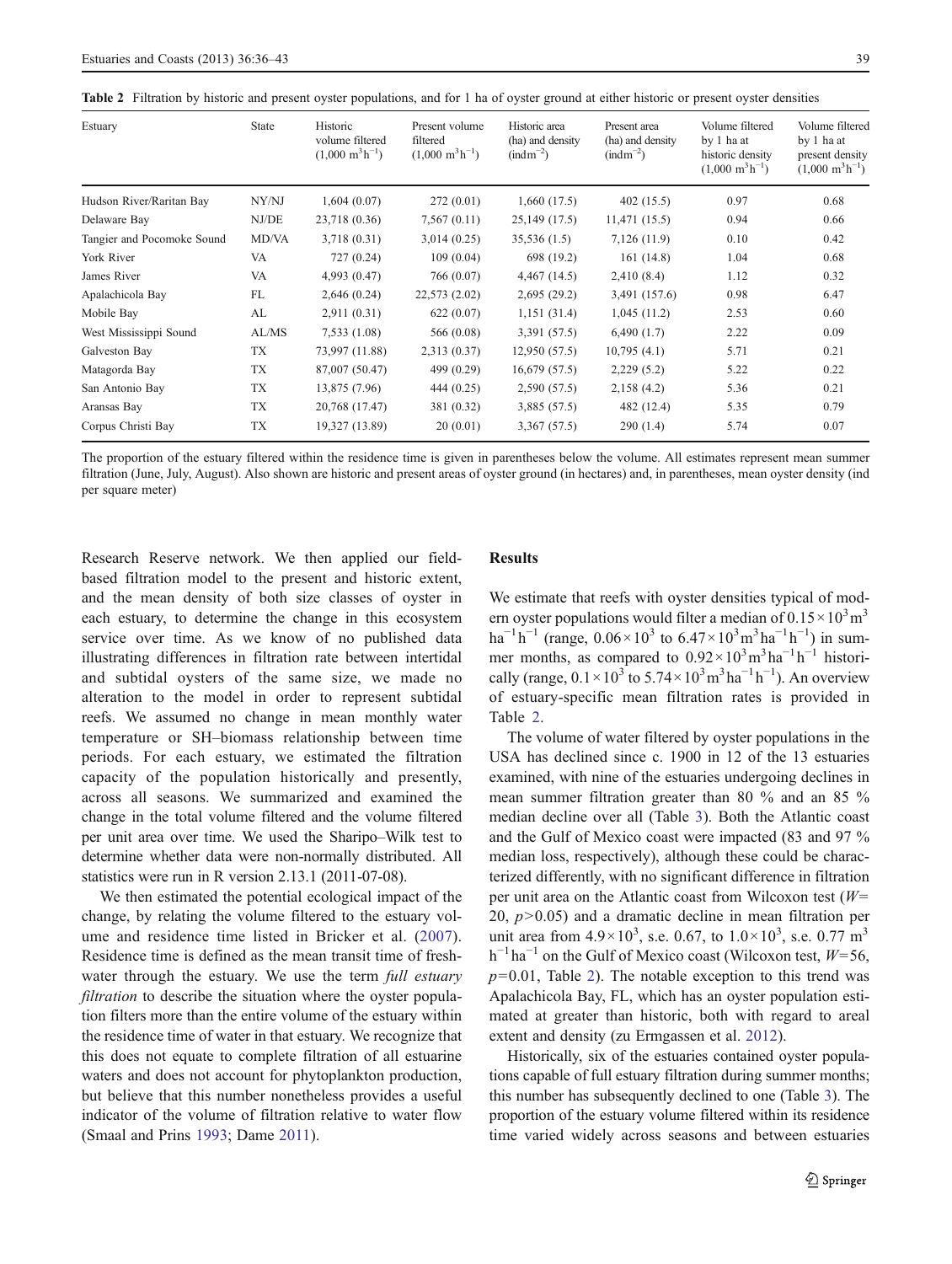<span id="page-3-0"></span>Table 2 Filtration by historic and present oyster populations, and for 1 ha of oyster ground at either historic or present oyster densities

| Estuary                    | <b>State</b> | Historic<br>volume filtered<br>$(1,000 \text{ m}^3 \text{h}^{-1})$ | Present volume<br>filtered<br>$(1,000 \text{ m}^3 \text{h}^{-1})$ | Historic area<br>(ha) and density<br>$\text{(indm}^{-2})$ | Present area<br>(ha) and density<br>$\text{(indm}^{-2})$ | Volume filtered<br>by 1 ha at<br>historic density<br>$(1,000 \text{ m}^3 \text{h}^{-1})$ | Volume filtered<br>by 1 ha at<br>present density<br>$(1,000 \text{ m}^3 \text{h}^{-1})$ |  |
|----------------------------|--------------|--------------------------------------------------------------------|-------------------------------------------------------------------|-----------------------------------------------------------|----------------------------------------------------------|------------------------------------------------------------------------------------------|-----------------------------------------------------------------------------------------|--|
| Hudson River/Raritan Bay   | NY/NJ        | 1,604(0.07)                                                        | 272(0.01)                                                         | 1,660(17.5)                                               | 402(15.5)                                                | 0.97                                                                                     | 0.68                                                                                    |  |
| Delaware Bay               | NJ/DE        | 23,718 (0.36)                                                      | 7,567(0.11)                                                       | 25,149(17.5)                                              | 11,471(15.5)                                             | 0.94                                                                                     | 0.66                                                                                    |  |
| Tangier and Pocomoke Sound | MD/VA        | 3,718(0.31)                                                        | 3,014(0.25)                                                       | 35,536(1.5)                                               | 7,126 (11.9)                                             | 0.10                                                                                     | 0.42                                                                                    |  |
| York River                 | VA           | 727(0.24)                                                          | 109(0.04)                                                         | 698 (19.2)                                                | 161(14.8)                                                | 1.04                                                                                     | 0.68                                                                                    |  |
| James River                | VA           | 4,993 (0.47)                                                       | 766 (0.07)                                                        | $4,467$ (14.5)                                            | 2,410 (8.4)                                              | 1.12                                                                                     | 0.32                                                                                    |  |
| Apalachicola Bay           | FL           | 2,646(0.24)                                                        | 22,573 (2.02)                                                     | 2,695(29.2)                                               | 3,491 (157.6)                                            | 0.98                                                                                     | 6.47                                                                                    |  |
| Mobile Bay                 | AL           | 2,911(0.31)                                                        | 622(0.07)                                                         | 1,151(31.4)                                               | 1,045(11.2)                                              | 2.53                                                                                     | 0.60                                                                                    |  |
| West Mississippi Sound     | AL/MS        | 7,533 (1.08)                                                       | 566 (0.08)                                                        | 3,391(57.5)                                               | 6,490(1.7)                                               | 2.22                                                                                     | 0.09                                                                                    |  |
| Galveston Bay              | TX           | 73,997 (11.88)                                                     | 2,313 (0.37)                                                      | 12,950(57.5)                                              | 10,795(4.1)                                              | 5.71                                                                                     | 0.21                                                                                    |  |
| Matagorda Bay              | <b>TX</b>    | 87,007 (50.47)                                                     | 499 (0.29)                                                        | 16,679(57.5)                                              | 2,229(5.2)                                               | 5.22                                                                                     | 0.22                                                                                    |  |
| San Antonio Bay            | <b>TX</b>    | 13,875 (7.96)                                                      | 444 (0.25)                                                        | 2,590(57.5)                                               | 2,158(4.2)                                               | 5.36                                                                                     | 0.21                                                                                    |  |
| Aransas Bay                | <b>TX</b>    | 20,768 (17.47)                                                     | 381 (0.32)                                                        | 3,885(57.5)                                               | 482 (12.4)                                               | 5.35                                                                                     | 0.79                                                                                    |  |
| Corpus Christi Bay         | <b>TX</b>    | 19,327 (13.89)                                                     | 20(0.01)                                                          | 3,367(57.5)                                               | 290(1.4)                                                 | 5.74                                                                                     | 0.07                                                                                    |  |

The proportion of the estuary filtered within the residence time is given in parentheses below the volume. All estimates represent mean summer filtration (June, July, August). Also shown are historic and present areas of oyster ground (in hectares) and, in parentheses, mean oyster density (ind per square meter)

Research Reserve network. We then applied our fieldbased filtration model to the present and historic extent, and the mean density of both size classes of oyster in each estuary, to determine the change in this ecosystem service over time. As we know of no published data illustrating differences in filtration rate between intertidal and subtidal oysters of the same size, we made no alteration to the model in order to represent subtidal reefs. We assumed no change in mean monthly water temperature or SH–biomass relationship between time periods. For each estuary, we estimated the filtration capacity of the population historically and presently, across all seasons. We summarized and examined the change in the total volume filtered and the volume filtered per unit area over time. We used the Sharipo–Wilk test to determine whether data were non-normally distributed. All statistics were run in R version 2.13.1 (2011-07-08).

We then estimated the potential ecological impact of the change, by relating the volume filtered to the estuary volume and residence time listed in Bricker et al. ([2007](#page-6-0)). Residence time is defined as the mean transit time of freshwater through the estuary. We use the term full estuary filtration to describe the situation where the oyster population filters more than the entire volume of the estuary within the residence time of water in that estuary. We recognize that this does not equate to complete filtration of all estuarine waters and does not account for phytoplankton production, but believe that this number nonetheless provides a useful indicator of the volume of filtration relative to water flow (Smaal and Prins [1993](#page-7-0); Dame [2011](#page-6-0)).

#### **Results**

We estimate that reefs with oyster densities typical of modern oyster populations would filter a median of  $0.15 \times 10^3$  m<sup>3</sup> ha<sup>-1</sup>h<sup>-1</sup> (range,  $0.06 \times 10^3$  to  $6.47 \times 10^3$  m<sup>3</sup> ha<sup>-1</sup>h<sup>-1</sup>) in summer months, as compared to  $0.92 \times 10^3 \text{ m}^3 \text{ ha}^{-1} \text{ h}^{-1}$  historically (range,  $0.1 \times 10^3$  to  $5.74 \times 10^3$  m<sup>3</sup> ha<sup>-1</sup> h<sup>-1</sup>). An overview of estuary-specific mean filtration rates is provided in Table 2.

The volume of water filtered by oyster populations in the USA has declined since c. 1900 in 12 of the 13 estuaries examined, with nine of the estuaries undergoing declines in mean summer filtration greater than 80 % and an 85 % median decline over all (Table [3](#page-4-0)). Both the Atlantic coast and the Gulf of Mexico coast were impacted (83 and 97 % median loss, respectively), although these could be characterized differently, with no significant difference in filtration per unit area on the Atlantic coast from Wilcoxon test ( $W=$ 20,  $p > 0.05$ ) and a dramatic decline in mean filtration per unit area from  $4.9 \times 10^3$ , s.e. 0.67, to  $1.0 \times 10^3$ , s.e. 0.77 m<sup>3</sup>  $h^{-1}$  ha<sup>-1</sup> on the Gulf of Mexico coast (Wilcoxon test,  $W=56$ ,  $p=0.01$ , Table 2). The notable exception to this trend was Apalachicola Bay, FL, which has an oyster population estimated at greater than historic, both with regard to areal extent and density (zu Ermgassen et al. [2012\)](#page-7-0).

Historically, six of the estuaries contained oyster populations capable of full estuary filtration during summer months; this number has subsequently declined to one (Table [3\)](#page-4-0). The proportion of the estuary volume filtered within its residence time varied widely across seasons and between estuaries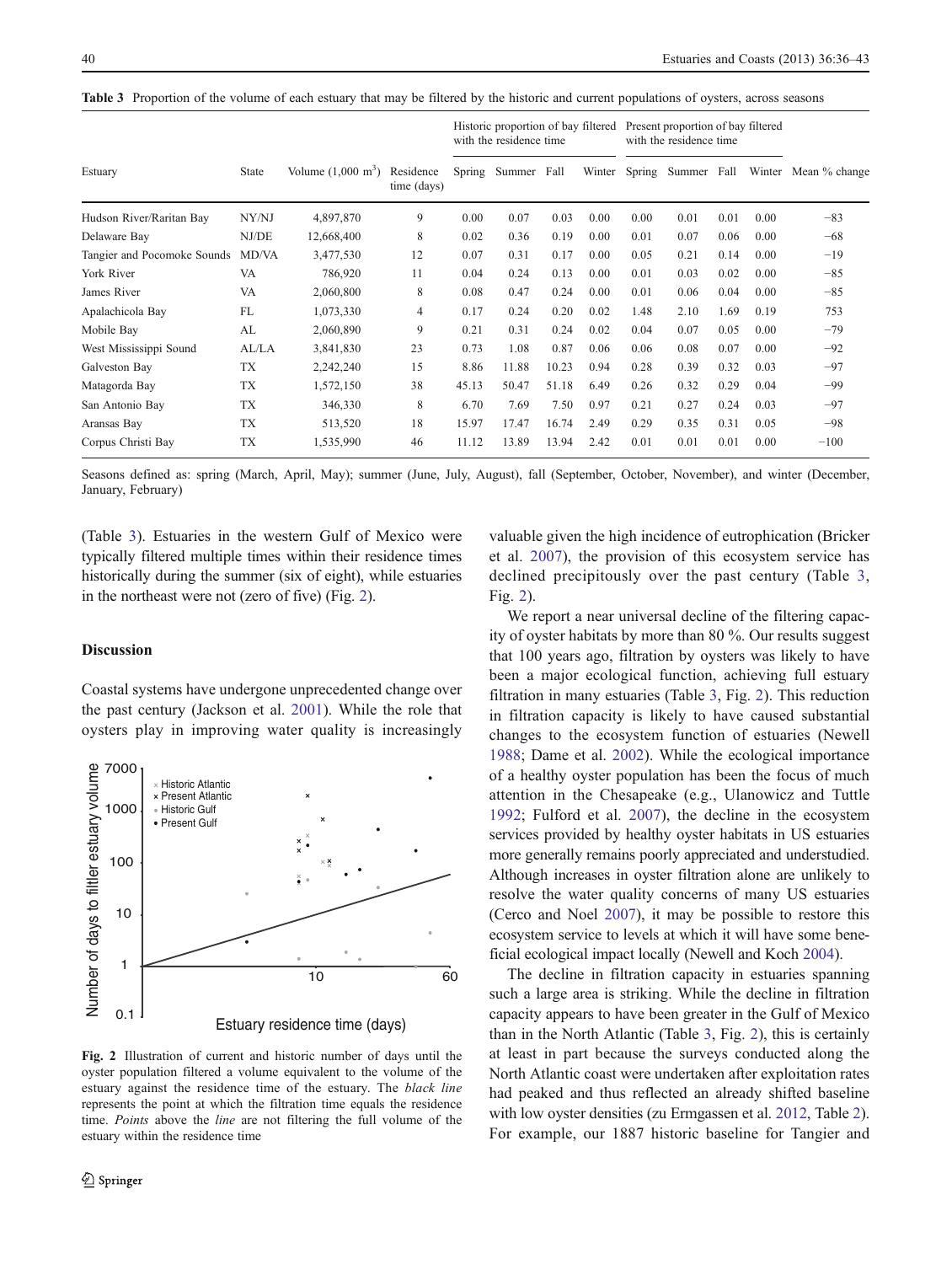<span id="page-4-0"></span>Table 3 Proportion of the volume of each estuary that may be filtered by the historic and current populations of oysters, across seasons

|                             | State     | Volume $(1,000 \text{ m}^3)$ | Residence<br>time (days) | Historic proportion of bay filtered<br>with the residence time |                    |       | Present proportion of bay filtered<br>with the residence time |        |             |      |      |                      |
|-----------------------------|-----------|------------------------------|--------------------------|----------------------------------------------------------------|--------------------|-------|---------------------------------------------------------------|--------|-------------|------|------|----------------------|
| Estuary                     |           |                              |                          |                                                                | Spring Summer Fall |       | Winter                                                        | Spring | Summer Fall |      |      | Winter Mean % change |
| Hudson River/Raritan Bay    | NY/NJ     | 4,897,870                    | 9                        | 0.00                                                           | 0.07               | 0.03  | 0.00                                                          | 0.00   | 0.01        | 0.01 | 0.00 | $-83$                |
| Delaware Bay                | NJ/DE     | 12,668,400                   | 8                        | 0.02                                                           | 0.36               | 0.19  | 0.00                                                          | 0.01   | 0.07        | 0.06 | 0.00 | $-68$                |
| Tangier and Pocomoke Sounds | MD/VA     | 3,477,530                    | 12                       | 0.07                                                           | 0.31               | 0.17  | 0.00                                                          | 0.05   | 0.21        | 0.14 | 0.00 | $-19$                |
| York River                  | VA        | 786,920                      | 11                       | 0.04                                                           | 0.24               | 0.13  | 0.00                                                          | 0.01   | 0.03        | 0.02 | 0.00 | $-85$                |
| James River                 | VA        | 2,060,800                    | 8                        | 0.08                                                           | 0.47               | 0.24  | 0.00                                                          | 0.01   | 0.06        | 0.04 | 0.00 | $-85$                |
| Apalachicola Bay            | FL        | 1,073,330                    | 4                        | 0.17                                                           | 0.24               | 0.20  | 0.02                                                          | 1.48   | 2.10        | 1.69 | 0.19 | 753                  |
| Mobile Bay                  | AL        | 2,060,890                    | 9                        | 0.21                                                           | 0.31               | 0.24  | 0.02                                                          | 0.04   | 0.07        | 0.05 | 0.00 | $-79$                |
| West Mississippi Sound      | AL/LA     | 3,841,830                    | 23                       | 0.73                                                           | 1.08               | 0.87  | 0.06                                                          | 0.06   | 0.08        | 0.07 | 0.00 | $-92$                |
| Galveston Bay               | <b>TX</b> | 2,242,240                    | 15                       | 8.86                                                           | 11.88              | 10.23 | 0.94                                                          | 0.28   | 0.39        | 0.32 | 0.03 | $-97$                |
| Matagorda Bay               | <b>TX</b> | 1,572,150                    | 38                       | 45.13                                                          | 50.47              | 51.18 | 6.49                                                          | 0.26   | 0.32        | 0.29 | 0.04 | $-99$                |
| San Antonio Bay             | <b>TX</b> | 346,330                      | 8                        | 6.70                                                           | 7.69               | 7.50  | 0.97                                                          | 0.21   | 0.27        | 0.24 | 0.03 | $-97$                |
| Aransas Bay                 | TX        | 513,520                      | 18                       | 15.97                                                          | 17.47              | 16.74 | 2.49                                                          | 0.29   | 0.35        | 0.31 | 0.05 | $-98$                |
| Corpus Christi Bay          | <b>TX</b> | 1,535,990                    | 46                       | 11.12                                                          | 13.89              | 13.94 | 2.42                                                          | 0.01   | 0.01        | 0.01 | 0.00 | $-100$               |

Seasons defined as: spring (March, April, May); summer (June, July, August), fall (September, October, November), and winter (December, January, February)

(Table 3). Estuaries in the western Gulf of Mexico were typically filtered multiple times within their residence times historically during the summer (six of eight), while estuaries in the northeast were not (zero of five) (Fig. 2).

#### Discussion

Coastal systems have undergone unprecedented change over the past century (Jackson et al. [2001](#page-7-0)). While the role that oysters play in improving water quality is increasingly



Fig. 2 Illustration of current and historic number of days until the oyster population filtered a volume equivalent to the volume of the estuary against the residence time of the estuary. The black line represents the point at which the filtration time equals the residence time. Points above the line are not filtering the full volume of the estuary within the residence time

valuable given the high incidence of eutrophication (Bricker et al. [2007\)](#page-6-0), the provision of this ecosystem service has declined precipitously over the past century (Table 3, Fig. 2).

We report a near universal decline of the filtering capacity of oyster habitats by more than 80 %. Our results suggest that 100 years ago, filtration by oysters was likely to have been a major ecological function, achieving full estuary filtration in many estuaries (Table 3, Fig. 2). This reduction in filtration capacity is likely to have caused substantial changes to the ecosystem function of estuaries (Newell [1988](#page-7-0); Dame et al. [2002](#page-6-0)). While the ecological importance of a healthy oyster population has been the focus of much attention in the Chesapeake (e.g., Ulanowicz and Tuttle [1992](#page-7-0); Fulford et al. [2007\)](#page-6-0), the decline in the ecosystem services provided by healthy oyster habitats in US estuaries more generally remains poorly appreciated and understudied. Although increases in oyster filtration alone are unlikely to resolve the water quality concerns of many US estuaries (Cerco and Noel [2007](#page-6-0)), it may be possible to restore this ecosystem service to levels at which it will have some beneficial ecological impact locally (Newell and Koch [2004](#page-7-0)).

The decline in filtration capacity in estuaries spanning such a large area is striking. While the decline in filtration capacity appears to have been greater in the Gulf of Mexico than in the North Atlantic (Table 3, Fig. 2), this is certainly at least in part because the surveys conducted along the North Atlantic coast were undertaken after exploitation rates had peaked and thus reflected an already shifted baseline with low oyster densities (zu Ermgassen et al. [2012](#page-7-0), Table [2\)](#page-3-0). For example, our 1887 historic baseline for Tangier and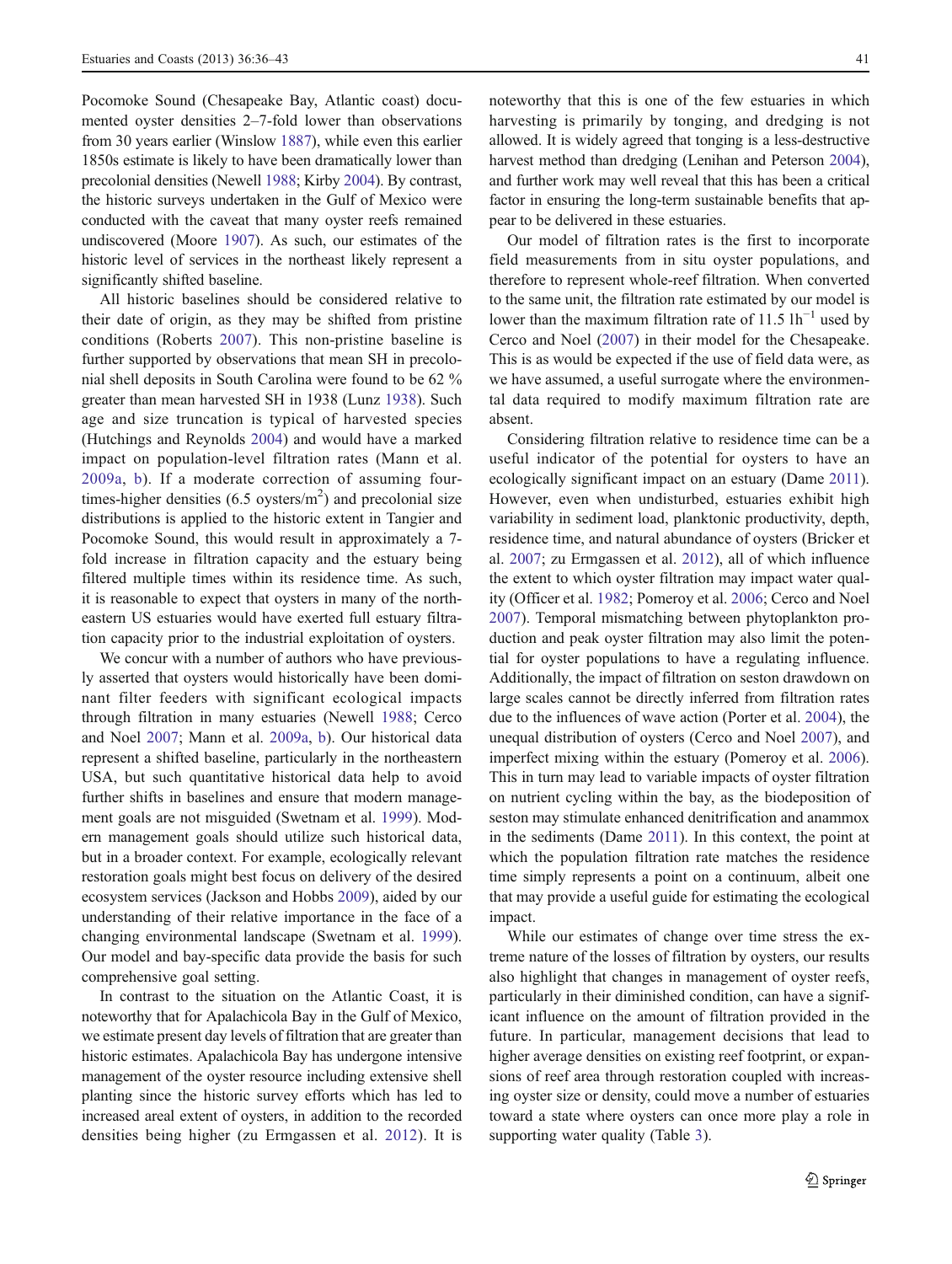Pocomoke Sound (Chesapeake Bay, Atlantic coast) documented oyster densities 2–7-fold lower than observations from 30 years earlier (Winslow [1887\)](#page-7-0), while even this earlier 1850s estimate is likely to have been dramatically lower than precolonial densities (Newell [1988](#page-7-0); Kirby [2004\)](#page-7-0). By contrast, the historic surveys undertaken in the Gulf of Mexico were conducted with the caveat that many oyster reefs remained undiscovered (Moore [1907](#page-7-0)). As such, our estimates of the historic level of services in the northeast likely represent a significantly shifted baseline.

All historic baselines should be considered relative to their date of origin, as they may be shifted from pristine conditions (Roberts [2007\)](#page-7-0). This non-pristine baseline is further supported by observations that mean SH in precolonial shell deposits in South Carolina were found to be 62 % greater than mean harvested SH in 1938 (Lunz [1938\)](#page-7-0). Such age and size truncation is typical of harvested species (Hutchings and Reynolds [2004](#page-7-0)) and would have a marked impact on population-level filtration rates (Mann et al. [2009a,](#page-7-0) [b](#page-7-0)). If a moderate correction of assuming fourtimes-higher densities  $(6.5 \text{ oystems/m}^2)$  and precolonial size distributions is applied to the historic extent in Tangier and Pocomoke Sound, this would result in approximately a 7 fold increase in filtration capacity and the estuary being filtered multiple times within its residence time. As such, it is reasonable to expect that oysters in many of the northeastern US estuaries would have exerted full estuary filtration capacity prior to the industrial exploitation of oysters.

We concur with a number of authors who have previously asserted that oysters would historically have been dominant filter feeders with significant ecological impacts through filtration in many estuaries (Newell [1988](#page-7-0); Cerco and Noel [2007;](#page-6-0) Mann et al. [2009a](#page-7-0), [b](#page-7-0)). Our historical data represent a shifted baseline, particularly in the northeastern USA, but such quantitative historical data help to avoid further shifts in baselines and ensure that modern management goals are not misguided (Swetnam et al. [1999](#page-7-0)). Modern management goals should utilize such historical data, but in a broader context. For example, ecologically relevant restoration goals might best focus on delivery of the desired ecosystem services (Jackson and Hobbs [2009](#page-7-0)), aided by our understanding of their relative importance in the face of a changing environmental landscape (Swetnam et al. [1999](#page-7-0)). Our model and bay-specific data provide the basis for such comprehensive goal setting.

In contrast to the situation on the Atlantic Coast, it is noteworthy that for Apalachicola Bay in the Gulf of Mexico, we estimate present day levels of filtration that are greater than historic estimates. Apalachicola Bay has undergone intensive management of the oyster resource including extensive shell planting since the historic survey efforts which has led to increased areal extent of oysters, in addition to the recorded densities being higher (zu Ermgassen et al. [2012](#page-7-0)). It is noteworthy that this is one of the few estuaries in which harvesting is primarily by tonging, and dredging is not allowed. It is widely agreed that tonging is a less-destructive harvest method than dredging (Lenihan and Peterson [2004\)](#page-7-0), and further work may well reveal that this has been a critical factor in ensuring the long-term sustainable benefits that appear to be delivered in these estuaries.

Our model of filtration rates is the first to incorporate field measurements from in situ oyster populations, and therefore to represent whole-reef filtration. When converted to the same unit, the filtration rate estimated by our model is lower than the maximum filtration rate of 11.5  $lh^{-1}$  used by Cerco and Noel ([2007\)](#page-6-0) in their model for the Chesapeake. This is as would be expected if the use of field data were, as we have assumed, a useful surrogate where the environmental data required to modify maximum filtration rate are absent.

Considering filtration relative to residence time can be a useful indicator of the potential for oysters to have an ecologically significant impact on an estuary (Dame [2011\)](#page-6-0). However, even when undisturbed, estuaries exhibit high variability in sediment load, planktonic productivity, depth, residence time, and natural abundance of oysters (Bricker et al. [2007;](#page-6-0) zu Ermgassen et al. [2012\)](#page-7-0), all of which influence the extent to which oyster filtration may impact water quality (Officer et al. [1982;](#page-7-0) Pomeroy et al. [2006;](#page-7-0) Cerco and Noel [2007](#page-6-0)). Temporal mismatching between phytoplankton production and peak oyster filtration may also limit the potential for oyster populations to have a regulating influence. Additionally, the impact of filtration on seston drawdown on large scales cannot be directly inferred from filtration rates due to the influences of wave action (Porter et al. [2004\)](#page-7-0), the unequal distribution of oysters (Cerco and Noel [2007](#page-6-0)), and imperfect mixing within the estuary (Pomeroy et al. [2006\)](#page-7-0). This in turn may lead to variable impacts of oyster filtration on nutrient cycling within the bay, as the biodeposition of seston may stimulate enhanced denitrification and anammox in the sediments (Dame [2011](#page-6-0)). In this context, the point at which the population filtration rate matches the residence time simply represents a point on a continuum, albeit one that may provide a useful guide for estimating the ecological impact.

While our estimates of change over time stress the extreme nature of the losses of filtration by oysters, our results also highlight that changes in management of oyster reefs, particularly in their diminished condition, can have a significant influence on the amount of filtration provided in the future. In particular, management decisions that lead to higher average densities on existing reef footprint, or expansions of reef area through restoration coupled with increasing oyster size or density, could move a number of estuaries toward a state where oysters can once more play a role in supporting water quality (Table [3\)](#page-4-0).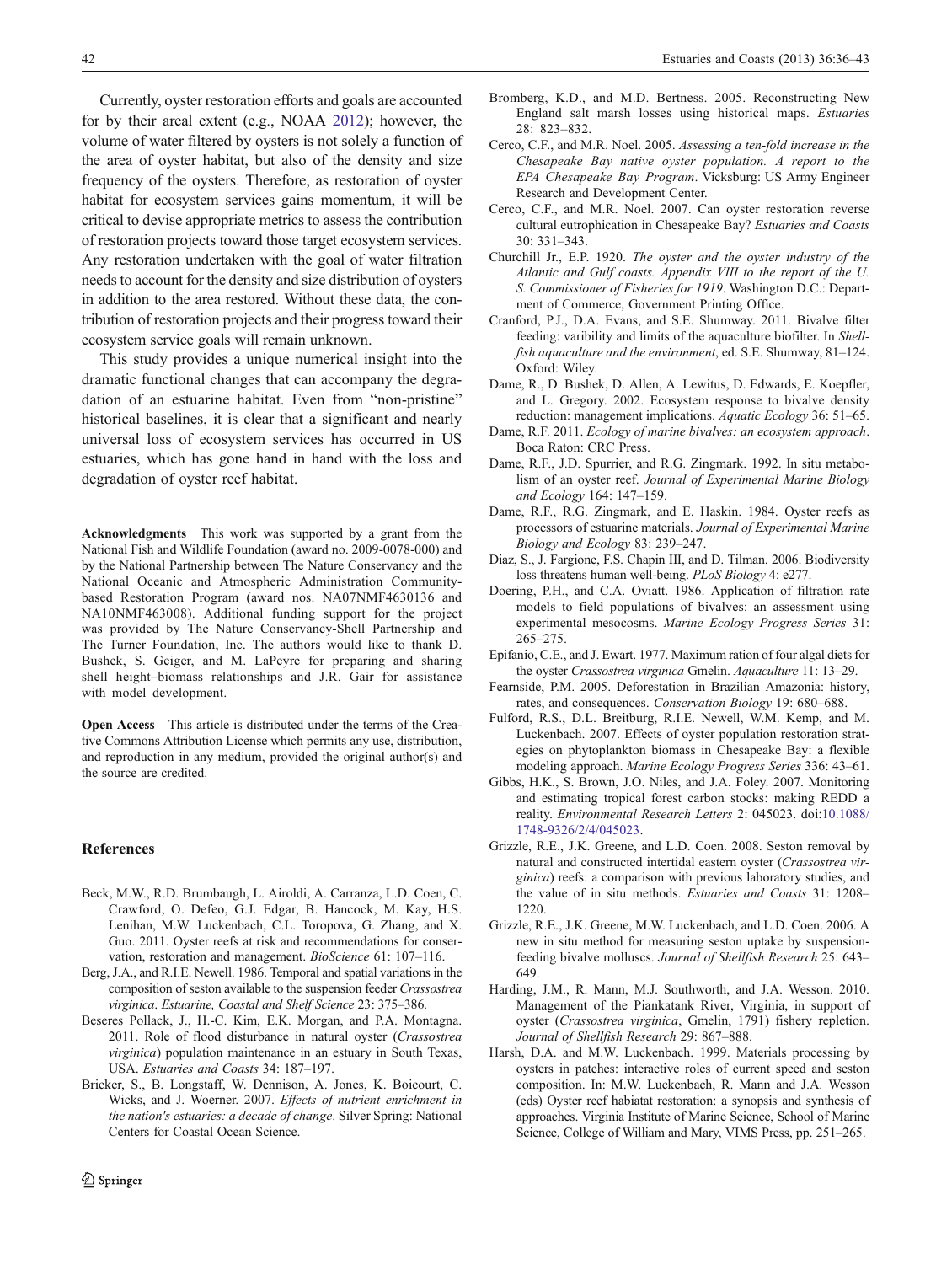<span id="page-6-0"></span>Currently, oyster restoration efforts and goals are accounted for by their areal extent (e.g., NOAA [2012\)](#page-7-0); however, the volume of water filtered by oysters is not solely a function of the area of oyster habitat, but also of the density and size frequency of the oysters. Therefore, as restoration of oyster habitat for ecosystem services gains momentum, it will be critical to devise appropriate metrics to assess the contribution of restoration projects toward those target ecosystem services. Any restoration undertaken with the goal of water filtration needs to account for the density and size distribution of oysters in addition to the area restored. Without these data, the contribution of restoration projects and their progress toward their ecosystem service goals will remain unknown.

This study provides a unique numerical insight into the dramatic functional changes that can accompany the degradation of an estuarine habitat. Even from "non-pristine" historical baselines, it is clear that a significant and nearly universal loss of ecosystem services has occurred in US estuaries, which has gone hand in hand with the loss and degradation of oyster reef habitat.

Acknowledgments This work was supported by a grant from the National Fish and Wildlife Foundation (award no. 2009-0078-000) and by the National Partnership between The Nature Conservancy and the National Oceanic and Atmospheric Administration Communitybased Restoration Program (award nos. NA07NMF4630136 and NA10NMF463008). Additional funding support for the project was provided by The Nature Conservancy-Shell Partnership and The Turner Foundation, Inc. The authors would like to thank D. Bushek, S. Geiger, and M. LaPeyre for preparing and sharing shell height–biomass relationships and J.R. Gair for assistance with model development.

Open Access This article is distributed under the terms of the Creative Commons Attribution License which permits any use, distribution, and reproduction in any medium, provided the original author(s) and the source are credited.

#### References

- Beck, M.W., R.D. Brumbaugh, L. Airoldi, A. Carranza, L.D. Coen, C. Crawford, O. Defeo, G.J. Edgar, B. Hancock, M. Kay, H.S. Lenihan, M.W. Luckenbach, C.L. Toropova, G. Zhang, and X. Guo. 2011. Oyster reefs at risk and recommendations for conservation, restoration and management. BioScience 61: 107–116.
- Berg, J.A., and R.I.E. Newell. 1986. Temporal and spatial variations in the composition of seston available to the suspension feeder Crassostrea virginica. Estuarine, Coastal and Shelf Science 23: 375–386.
- Beseres Pollack, J., H.-C. Kim, E.K. Morgan, and P.A. Montagna. 2011. Role of flood disturbance in natural oyster (Crassostrea virginica) population maintenance in an estuary in South Texas, USA. Estuaries and Coasts 34: 187–197.
- Bricker, S., B. Longstaff, W. Dennison, A. Jones, K. Boicourt, C. Wicks, and J. Woerner. 2007. Effects of nutrient enrichment in the nation's estuaries: a decade of change. Silver Spring: National Centers for Coastal Ocean Science.
- Bromberg, K.D., and M.D. Bertness. 2005. Reconstructing New England salt marsh losses using historical maps. Estuaries 28: 823–832.
- Cerco, C.F., and M.R. Noel. 2005. Assessing a ten-fold increase in the Chesapeake Bay native oyster population. A report to the EPA Chesapeake Bay Program. Vicksburg: US Army Engineer Research and Development Center.
- Cerco, C.F., and M.R. Noel. 2007. Can oyster restoration reverse cultural eutrophication in Chesapeake Bay? Estuaries and Coasts 30: 331–343.
- Churchill Jr., E.P. 1920. The oyster and the oyster industry of the Atlantic and Gulf coasts. Appendix VIII to the report of the U. S. Commissioner of Fisheries for 1919. Washington D.C.: Department of Commerce, Government Printing Office.
- Cranford, P.J., D.A. Evans, and S.E. Shumway. 2011. Bivalve filter feeding: varibility and limits of the aquaculture biofilter. In Shellfish aquaculture and the environment, ed. S.E. Shumway, 81–124. Oxford: Wiley.
- Dame, R., D. Bushek, D. Allen, A. Lewitus, D. Edwards, E. Koepfler, and L. Gregory. 2002. Ecosystem response to bivalve density reduction: management implications. Aquatic Ecology 36: 51–65.
- Dame, R.F. 2011. Ecology of marine bivalves: an ecosystem approach. Boca Raton: CRC Press.
- Dame, R.F., J.D. Spurrier, and R.G. Zingmark. 1992. In situ metabolism of an oyster reef. Journal of Experimental Marine Biology and Ecology 164: 147–159.
- Dame, R.F., R.G. Zingmark, and E. Haskin. 1984. Oyster reefs as processors of estuarine materials. Journal of Experimental Marine Biology and Ecology 83: 239–247.
- Diaz, S., J. Fargione, F.S. Chapin III, and D. Tilman. 2006. Biodiversity loss threatens human well-being. PLoS Biology 4: e277.
- Doering, P.H., and C.A. Oviatt. 1986. Application of filtration rate models to field populations of bivalves: an assessment using experimental mesocosms. Marine Ecology Progress Series 31: 265–275.
- Epifanio, C.E., and J. Ewart. 1977. Maximum ration of four algal diets for the oyster Crassostrea virginica Gmelin. Aquaculture 11: 13–29.
- Fearnside, P.M. 2005. Deforestation in Brazilian Amazonia: history, rates, and consequences. Conservation Biology 19: 680–688.
- Fulford, R.S., D.L. Breitburg, R.I.E. Newell, W.M. Kemp, and M. Luckenbach. 2007. Effects of oyster population restoration strategies on phytoplankton biomass in Chesapeake Bay: a flexible modeling approach. Marine Ecology Progress Series 336: 43–61.
- Gibbs, H.K., S. Brown, J.O. Niles, and J.A. Foley. 2007. Monitoring and estimating tropical forest carbon stocks: making REDD a reality. Environmental Research Letters 2: 045023. doi[:10.1088/](http://dx.doi.org/10.1088/1748-9326/2/4/045023) [1748-9326/2/4/045023](http://dx.doi.org/10.1088/1748-9326/2/4/045023).
- Grizzle, R.E., J.K. Greene, and L.D. Coen. 2008. Seston removal by natural and constructed intertidal eastern oyster (Crassostrea virginica) reefs: a comparison with previous laboratory studies, and the value of in situ methods. Estuaries and Coasts 31: 1208– 1220.
- Grizzle, R.E., J.K. Greene, M.W. Luckenbach, and L.D. Coen. 2006. A new in situ method for measuring seston uptake by suspensionfeeding bivalve molluscs. Journal of Shellfish Research 25: 643– 649.
- Harding, J.M., R. Mann, M.J. Southworth, and J.A. Wesson. 2010. Management of the Piankatank River, Virginia, in support of oyster (Crassostrea virginica, Gmelin, 1791) fishery repletion. Journal of Shellfish Research 29: 867–888.
- Harsh, D.A. and M.W. Luckenbach. 1999. Materials processing by oysters in patches: interactive roles of current speed and seston composition. In: M.W. Luckenbach, R. Mann and J.A. Wesson (eds) Oyster reef habiatat restoration: a synopsis and synthesis of approaches. Virginia Institute of Marine Science, School of Marine Science, College of William and Mary, VIMS Press, pp. 251–265.